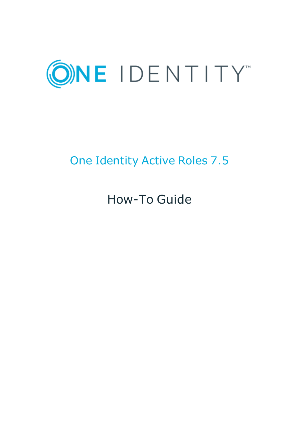

# One Identity Active Roles 7.5

# How-To Guide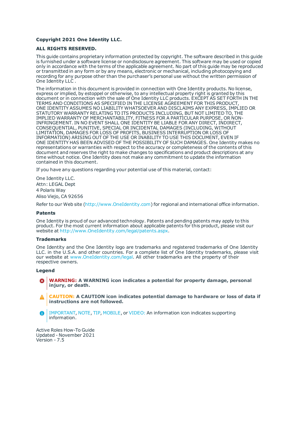#### **Copyright 2021 One Identity LLC.**

#### **ALL RIGHTS RESERVED.**

This guide contains proprietary information protected by copyright. The software described in this guide is furnished under a software license or nondisclosure agreement. This software may be used or copied only in accordance with the terms of the applicable agreement. No part of this guide may be reproduced or transmitted in any form or by any means, electronic or mechanical, including photocopying and recording for any purpose other than the purchaser's personal use without the written permission of One Identity LLC .

The information in this document is provided in connection with One Identity products. No license, express or implied, by estoppel or otherwise, to any intellectual property right is granted by this document or in connection with the sale of One Identity LLC products. EXCEPT AS SET FORTH IN THE TERMS AND CONDITIONS AS SPECIFIED IN THE LICENSE AGREEMENT FOR THIS PRODUCT, ONE IDENTITY ASSUMES NO LIABILITY WHATSOEVER AND DISCLAIMS ANY EXPRESS, IMPLIED OR STATUTORY WARRANTY RELATING TO ITS PRODUCTS INCLUDING, BUT NOT LIMITED TO, THE IMPLIED WARRANTY OF MERCHANTABILITY, FITNESS FOR A PARTICULAR PURPOSE, OR NON-INFRINGEMENT. IN NO EVENT SHALL ONE IDENTITY BE LIABLE FOR ANY DIRECT, INDIRECT, CONSEQUENTIAL, PUNITIVE, SPECIAL OR INCIDENTAL DAMAGES (INCLUDING, WITHOUT LIMITATION, DAMAGES FOR LOSS OF PROFITS, BUSINESS INTERRUPTION OR LOSS OF INFORMATION) ARISING OUT OF THE USE OR INABILITY TO USE THIS DOCUMENT, EVEN IF ONE IDENTITY HAS BEEN ADVISED OF THE POSSIBILITY OF SUCH DAMAGES. One Identity makes no representations or warranties with respect to the accuracy or completeness of the contents of this document and reserves the right to make changes to specifications and product descriptions at any time without notice. One Identity does not make any commitment to update the information contained in this document.

If you have any questions regarding your potential use of this material, contact:

One Identity LLC. Attn: LEGAL Dept 4 Polaris Way Aliso Viejo, CA 92656

Refer to our Web site ([http://www.OneIdentity.com](http://www.oneidentity.com/)) for regional and international office information.

#### **Patents**

One Identity is proud of our advanced technology. Patents and pending patents may apply to this product. For the most current information about applicable patents for this product, please visit our website at [http://www.OneIdentity.com/legal/patents.aspx](http://www.oneidentity.com/legal/patents.aspx).

#### **Trademarks**

One Identity and the One Identity logo are trademarks and registered trademarks of One Identity LLC. in the U.S.A. and other countries. For a complete list of One Identity trademarks, please visit our website at [www.OneIdentity.com/legal](http://www.oneidentity.com/legal). All other trademarks are the property of their respective owners.

#### **Legend**

- **WARNING: A WARNING icon indicates a potential for property damage, personal injury, or death.**
- **CAUTION: A CAUTION icon indicates potential damage to hardware or loss of data if instructions are not followed.**
- IMPORTANT, NOTE, TIP, MOBILE, or VIDEO: An information icon indicates supporting Œ information.

Active Roles How-To Guide Updated - November 2021 Version - 7.5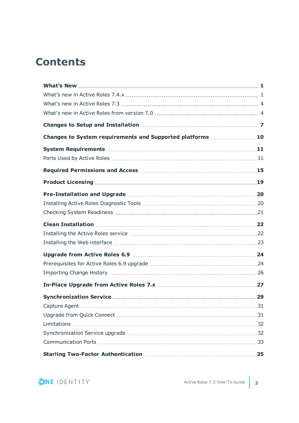### **Contents**

| Changes to System requirements and Supported platforms  10 |  |
|------------------------------------------------------------|--|
|                                                            |  |
|                                                            |  |
|                                                            |  |
|                                                            |  |
|                                                            |  |
|                                                            |  |
|                                                            |  |
|                                                            |  |
|                                                            |  |
|                                                            |  |
|                                                            |  |
|                                                            |  |
|                                                            |  |
|                                                            |  |
|                                                            |  |
|                                                            |  |
|                                                            |  |
|                                                            |  |
|                                                            |  |
|                                                            |  |
|                                                            |  |

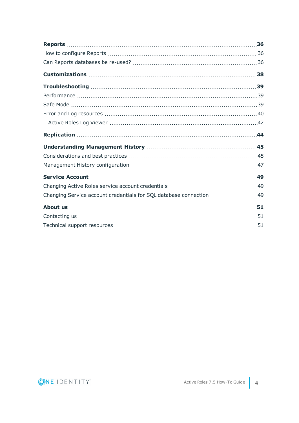| Changing Service account credentials for SQL database connection 49 |  |
|---------------------------------------------------------------------|--|
|                                                                     |  |
|                                                                     |  |
|                                                                     |  |

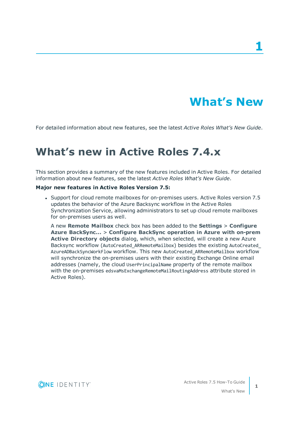## **What's New**

**1**

<span id="page-4-1"></span><span id="page-4-0"></span>For detailed information about new features, see the latest *Active Roles What's New Guide*.

### **What's new in Active Roles 7.4.x**

This section provides a summary of the new features included in Active Roles. For detailed information about new features, see the latest *Active Roles What's New Guide*.

#### **Major new features in Active Roles Version 7.5:**

• Support for cloud remote mailboxes for on-premises users. Active Roles version 7.5 updates the behavior of the Azure Backsync workflow in the Active Roles Synchronization Service, allowing administrators to set up cloud remote mailboxes for on-premises users as well.

A new **Remote Mailbox** check box has been added to the **Settings** > **Configure Azure BackSync...** > **Configure BackSync operation in Azure with on-prem Active Directory objects** dialog, which, when selected, will create a new Azure Backsync workflow (AutoCreated\_ARRemoteMailbox) besides the existing AutoCreated\_ AzureADBackSyncWorkFlow workflow. This new AutoCreated\_ARRemoteMailbox workflow will synchronize the on-premises users with their existing Exchange Online email addresses (namely, the cloud UserPrincipalName property of the remote mailbox with the on-premises edsvaMsExchangeRemoteMailRoutingAddress attribute stored in Active Roles).

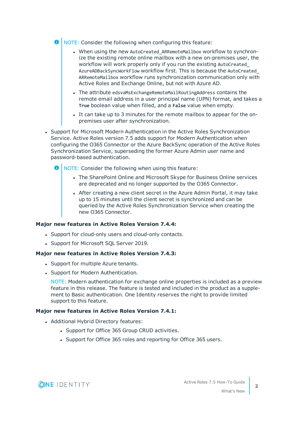**O** NOTE: Consider the following when configuring this feature:

- When using the new AutoCreated\_ARRemoteMailbox workflow to synchronize the existing remote online mailbox with a new on-premises user, the workflow will work properly only if you run the existing AutoCreated\_ AzureADBackSyncWorkFlow workflow first. This is because the AutoCreated\_ ARRemoteMailbox workflow runs synchronization communication only with Active Roles and Exchange Online, but not with Azure AD.
- The attribute edsvaMsExchangeRemoteMailRoutingAddress contains the remote email address in a user principal name (UPN) format, and takes a **True** boolean value when filled, and a **False** value when empty.
- It can take up to 3 minutes for the remote mailbox to appear for the onpremises user after synchronization.
- Support for Microsoft Modern Authentication in the Active Roles Synchronization Service. Active Roles version 7.5 adds support for Modern Authentication when configuring the O365 Connector or the Azure BackSync operation of the Active Roles Synchronization Service, superseding the former Azure Admin user name and password-based authentication.
	- $\bullet$  NOTE: Consider the following when using this feature:
		- The SharePoint Online and Microsoft Skype for Business Online services are deprecated and no longer supported by the O365 Connector.
		- After creating a new client secret in the Azure Admin Portal, it may take up to 15 minutes until the client secret is synchronized and can be queried by the Active Roles Synchronization Service when creating the new O365 Connector.

#### **Major new features in Active Roles Version 7.4.4:**

- Support for cloud-only users and cloud-only contacts.
- Support for Microsoft SQL Server 2019.

#### **Major new features in Active Roles Version 7.4.3:**

- Support for multiple Azure tenants.
- Support for Modern Authentication.

NOTE: Modern authentication for exchange online properties is included as a preview feature in this release. The feature is tested and included in the product as a supplement to Basic authentication. One Identity reserves the right to provide limited support to this feature.

### **Major new features in Active Roles Version 7.4.1:**

- Additional Hybrid Directory features:
	- Support for Office 365 Group CRUD activities.
	- Support for Office 365 roles and reporting for Office 365 users.

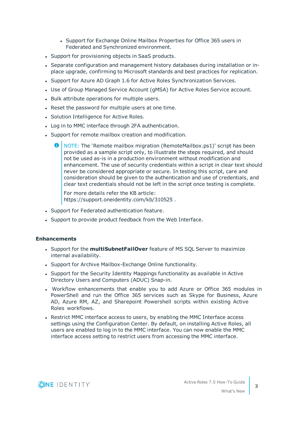- Support for Exchange Online Mailbox Properties for Office 365 users in Federated and Synchronized environment.
- Support for provisioning objects in SaaS products.
- Separate configuration and management history databases during installation or inplace upgrade, confirming to Microsoft standards and best practices for replication.
- Support for Azure AD Graph 1.6 for Active Roles Synchronization Services.
- Use of Group Managed Service Account (gMSA) for Active Roles Service account.
- Bulk attribute operations for multiple users.
- Reset the password for multiple users at one time.
- Solution Intelligence for Active Roles.
- Log in to MMC interface through 2FA authentication.
- Support for remote mailbox creation and modification.
	- O NOTE: The 'Remote mailbox migration (RemoteMailbox.ps1)' script has been provided as a sample script only, to illustrate the steps required, and should not be used as-is in a production environment without modification and enhancement. The use of security credentials within a script in clear text should never be considered appropriate or secure. In testing this script, care and consideration should be given to the authentication and use of credentials, and clear text credentials should not be left in the script once testing is complete.

For more details refer the KB article: https://support.oneidentity.com/kb/310525 .

- Support for Federated authentication feature.
- Support to provide product feedback from the Web Interface.

#### **Enhancements**

- **.** Support for the **multiSubnetFailOver** feature of MS SQL Server to maximize internal availability.
- Support for Archive Mailbox-Exchange Online functionality.
- Support for the Security Identity Mappings functionality as available in Active Directory Users and Computers (ADUC) Snap-in.
- Workflow enhancements that enable you to add Azure or Office 365 modules in PowerShell and run the Office 365 services such as Skype for Business, Azure AD, Azure RM, AZ, and Sharepoint Powershell scripts within existing Active Roles workflows.
- Restrict MMC interface access to users, by enabling the MMC Interface access settings using the Configuration Center. By default, on installing Active Roles, all users are enabled to log in to the MMC interface. You can now enable the MMC interface access setting to restrict users from accessing the MMC interface.

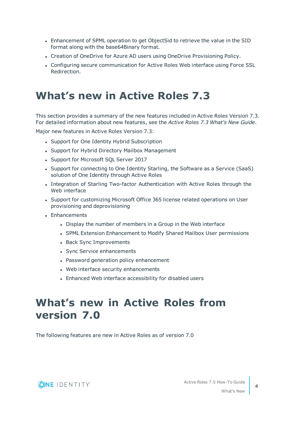- <sup>l</sup> Enhancement of SPML operation to get ObjectSid to retrieve the value in the SID format along with the base64Binary format.
- Creation of OneDrive for Azure AD users using OneDrive Provisioning Policy.
- <sup>l</sup> Configuring secure communication for Active Roles Web interface using Force SSL Redirection.

### <span id="page-7-0"></span>**What's new in Active Roles 7.3**

This section provides a summary of the new features included in Active Roles Version 7.3. For detailed information about new features, see the *Active Roles 7.3 What's New Guide*.

Major new features in Active Roles Version 7.3:

- Support for One Identity Hybrid Subscription
- Support for Hybrid Directory Mailbox Management
- Support for Microsoft SQL Server 2017
- Support for connecting to One Identity Starling, the Software as a Service (SaaS) solution of One Identity through Active Roles
- Integration of Starling Two-factor Authentication with Active Roles through the Web interface
- Support for customizing Microsoft Office 365 license related operations on User provisioning and deprovisioning
- Enhancements
	- Display the number of members in a Group in the Web interface
	- SPML Extension Enhancement to Modify Shared Mailbox User permissions
	- Back Sync Improvements
	- Sync Service enhancements
	- Password generation policy enhancement
	- Web interface security enhancements
	- Enhanced Web interface accessibility for disabled users

### <span id="page-7-1"></span>**What's new in Active Roles from version 7.0**

The following features are new in Active Roles as of version 7.0

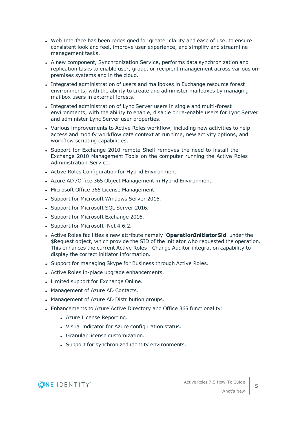- Web Interface has been redesigned for greater clarity and ease of use, to ensure consistent look and feel, improve user experience, and simplify and streamline management tasks.
- A new component, Synchronization Service, performs data synchronization and replication tasks to enable user, group, or recipient management across various onpremises systems and in the cloud.
- Integrated administration of users and mailboxes in Exchange resource forest environments, with the ability to create and administer mailboxes by managing mailbox users in external forests.
- Integrated administration of Lync Server users in single and multi-forest environments, with the ability to enable, disable or re-enable users for Lync Server and administer Lync Server user properties.
- Various improvements to Active Roles workflow, including new activities to help access and modify workflow data context at run time, new activity options, and workflow scripting capabilities.
- Support for Exchange 2010 remote Shell removes the need to install the Exchange 2010 Management Tools on the computer running the Active Roles Administration Service.
- Active Roles Configuration for Hybrid Environment.
- Azure AD / Office 365 Object Management in Hybrid Environment.
- Microsoft Office 365 License Management.
- Support for Microsoft Windows Server 2016.
- Support for Microsoft SQL Server 2016.
- Support for Microsoft Exchange 2016.
- Support for Microsoft .Net 4.6.2.
- <sup>l</sup> Active Roles facilities a new attribute namely '**OperationInitiatorSid**' under the \$Request object, which provide the SID of the initiator who requested the operation. This enhances the current Active Roles - Change Auditor integration capability to display the correct initiator information.
- Support for managing Skype for Business through Active Roles.
- Active Roles in-place upgrade enhancements.
- Limited support for Exchange Online.
- Management of Azure AD Contacts.
- Management of Azure AD Distribution groups.
- Enhancements to Azure Active Directory and Office 365 functionality:
	- Azure License Reporting.
	- Visual indicator for Azure configuration status.
	- Granular license customization.
	- Support for synchronized identity environments.



What's New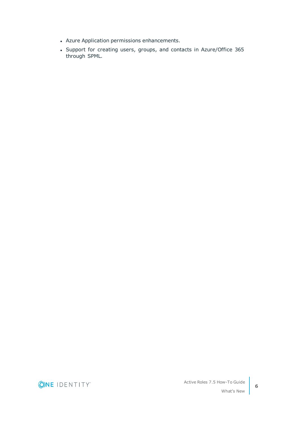- Azure Application permissions enhancements.
- Support for creating users, groups, and contacts in Azure/Office 365 through SPML.

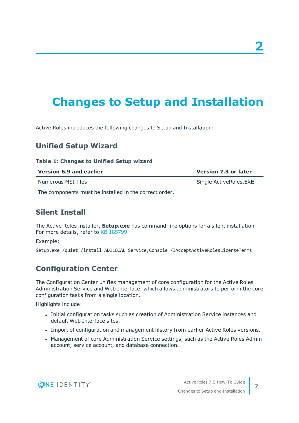## <span id="page-10-0"></span>**Changes to Setup and Installation**

Active Roles introduces the following changes to Setup and Installation:

### **Unified Setup Wizard**

#### **Table 1: Changes to Unified Setup wizard**

| Version 6.9 and earlier | <b>Version 7.3 or later</b> |  |
|-------------------------|-----------------------------|--|
| Numerous MSI files      | Single ActiveRoles.EXE      |  |
| .                       |                             |  |

The components must be installed in the correct order.

### **Silent Install**

The Active Roles installer, **Setup.exe** has command-line options for a silent installation. For more details, refer to KB 185799

Example:

Setup.exe /quiet /install ADDLOCAL=Service,Console /IAcceptActiveRolesLicenseTerms

### **Configuration Center**

The Configuration Center unifies management of core configuration for the Active Roles Administration Service and Web Interface, which allows administrators to perform the core configuration tasks from a single location.

Highlights include:

- Initial configuration tasks such as creation of Administration Service instances and default Web Interface sites.
- <sup>l</sup> Import of configuration and management history from earlier Active Roles versions.
- Management of core Administration Service settings, such as the Active Roles Admin account, service account, and database connection.



**7**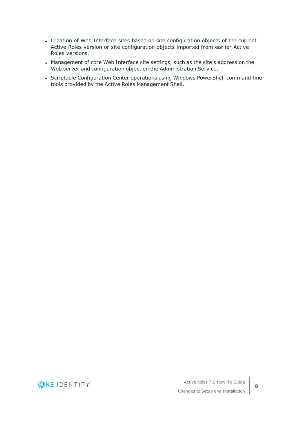- Creation of Web Interface sites based on site configuration objects of the current Active Roles version or site configuration objects imported from earlier Active Roles versions.
- Management of core Web Interface site settings, such as the site's address on the Web server and configuration object on the Administration Service.
- Scriptable Configuration Center operations using Windows PowerShell command-line tools provided by the Active Roles Management Shell.

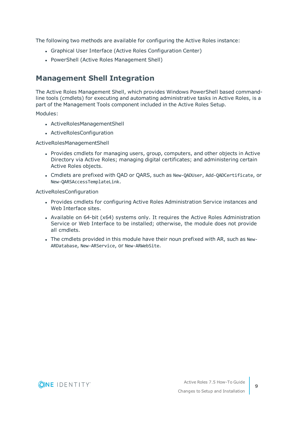The following two methods are available for configuring the Active Roles instance:

- Graphical User Interface (Active Roles Configuration Center)
- PowerShell (Active Roles Management Shell)

### **Management Shell Integration**

The Active Roles Management Shell, which provides Windows PowerShell based commandline tools (cmdlets) for executing and automating administrative tasks in Active Roles, is a part of the Management Tools component included in the Active Roles Setup.

Modules:

- ActiveRolesManagementShell
- ActiveRolesConfiguration

ActiveRolesManagementShell

- Provides cmdlets for managing users, group, computers, and other objects in Active Directory via Active Roles; managing digital certificates; and administering certain Active Roles objects.
- <sup>l</sup> Cmdlets are prefixed with QAD or QARS, such as New-QADUser, Add-QADCertificate, or New-QARSAccessTemplateLink.

ActiveRolesConfiguration

- Provides cmdlets for configuring Active Roles Administration Service instances and Web Interface sites.
- Available on  $64$ -bit ( $x64$ ) systems only. It requires the Active Roles Administration Service or Web Interface to be installed; otherwise, the module does not provide all cmdlets.
- The cmdlets provided in this module have their noun prefixed with AR, such as New-ARDatabase, New-ARService, or New-ARWebSite.

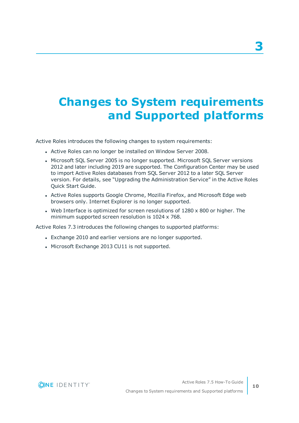## <span id="page-13-0"></span>**Changes to System requirements and Supported platforms**

Active Roles introduces the following changes to system requirements:

- Active Roles can no longer be installed on Window Server 2008.
- Microsoft SQL Server 2005 is no longer supported. Microsoft SQL Server versions 2012 and later including 2019 are supported. The Configuration Center may be used to import Active Roles databases from SQL Server 2012 to a later SQL Server version. For details, see "Upgrading the Administration Service" in the Active Roles Quick Start Guide.
- Active Roles supports Google Chrome, Mozilla Firefox, and Microsoft Edge web browsers only. Internet Explorer is no longer supported.
- Web Interface is optimized for screen resolutions of  $1280 \times 800$  or higher. The minimum supported screen resolution is 1024 x 768.

Active Roles 7.3 introduces the following changes to supported platforms:

- Exchange 2010 and earlier versions are no longer supported.
- Microsoft Exchange 2013 CU11 is not supported.

**10**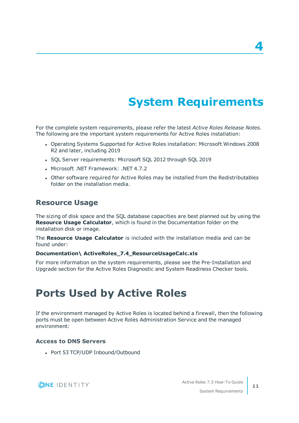## **System Requirements**

<span id="page-14-0"></span>For the complete system requirements, please refer the latest *Active Roles Release Notes*. The following are the important system requirements for Active Roles installation:

- Operating Systems Supported for Active Roles installation: Microsoft Windows 2008 R2 and later, including 2019
- SQL Server requirements: Microsoft SQL 2012 through SQL 2019
- <sup>l</sup> Microsoft .NET Framework: .NET 4.7.2
- Other software required for Active Roles may be installed from the Redistributables folder on the installation media.

### **Resource Usage**

The sizing of disk space and the SQL database capacities are best planned out by using the **Resource Usage Calculator**, which is found in the Documentation folder on the installation disk or image.

The **Resource Usage Calculator** is included with the installation media and can be found under:

#### **Documentation\ ActiveRoles\_7.4\_ResourceUsageCalc.xls**

For more information on the system requirements, please see the Pre-Installation and Upgrade section for the Active Roles Diagnostic and System Readiness Checker tools.

### <span id="page-14-1"></span>**Ports Used by Active Roles**

If the environment managed by Active Roles is located behind a firewall, then the following ports must be open between Active Roles Administration Service and the managed environment:

### **Access to DNS Servers**

• Port 53 TCP/UDP Inbound/Outbound



System Requirements

**4**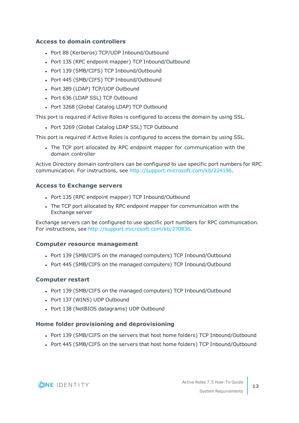### **Access to domain controllers**

- Port 88 (Kerberos) TCP/UDP Inbound/Outbound
- Port 135 (RPC endpoint mapper) TCP Inbound/Outbound
- Port 139 (SMB/CIFS) TCP Inbound/Outbound
- Port 445 (SMB/CIFS) TCP Inbound/Outbound
- Port 389 (LDAP) TCP/UDP Outbound
- Port 636 (LDAP SSL) TCP Outbound
- Port 3268 (Global Catalog LDAP) TCP Outbound

This port is required if Active Roles is configured to access the domain by using SSL.

• Port 3269 (Global Catalog LDAP SSL) TCP Outbound

This port is required if Active Roles is configured to access the domain by using SSL.

• The TCP port allocated by RPC endpoint mapper for communication with the domain controller

Active Directory domain controllers can be configured to use specific port numbers for RPC communication. For instructions, see <http://support.microsoft.com/kb/224196>.

### **Access to Exchange servers**

- Port 135 (RPC endpoint mapper) TCP Inbound/Outbound
- The TCP port allocated by RPC endpoint mapper for communication with the Exchange server

Exchange servers can be configured to use specific port numbers for RPC communication. For instructions, see [http://support.microsoft.com/kb/270836.](http://support.microsoft.com/kb/270836)

#### **Computer resource management**

- Port 139 (SMB/CIFS on the managed computers) TCP Inbound/Outbound
- Port 445 (SMB/CIFS on the managed computers) TCP Inbound/Outbound

### **Computer restart**

- Port 139 (SMB/CIFS on the managed computers) TCP Inbound/Outbound
- Port 137 (WINS) UDP Outbound
- Port 138 (NetBIOS datagrams) UDP Outbound

#### **Home folder provisioning and deprovisioning**

- Port 139 (SMB/CIFS on the servers that host home folders) TCP Inbound/Outbound
- Port 445 (SMB/CIFS on the servers that host home folders) TCP Inbound/Outbound



System Requirements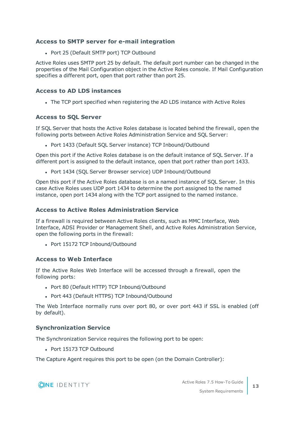### **Access to SMTP server for e-mail integration**

• Port 25 (Default SMTP port) TCP Outbound

Active Roles uses SMTP port 25 by default. The default port number can be changed in the properties of the Mail Configuration object in the Active Roles console. If Mail Configuration specifies a different port, open that port rather than port 25.

### **Access to AD LDS instances**

• The TCP port specified when registering the AD LDS instance with Active Roles

### **Access to SQL Server**

If SQL Server that hosts the Active Roles database is located behind the firewall, open the following ports between Active Roles Administration Service and SQL Server:

• Port 1433 (Default SQL Server instance) TCP Inbound/Outbound

Open this port if the Active Roles database is on the default instance of SQL Server. If a different port is assigned to the default instance, open that port rather than port 1433.

• Port 1434 (SQL Server Browser service) UDP Inbound/Outbound

Open this port if the Active Roles database is on a named instance of SQL Server. In this case Active Roles uses UDP port 1434 to determine the port assigned to the named instance, open port 1434 along with the TCP port assigned to the named instance.

### **Access to Active Roles Administration Service**

If a firewall is required between Active Roles clients, such as MMC Interface, Web Interface, ADSI Provider or Management Shell, and Active Roles Administration Service, open the following ports in the firewall:

• Port 15172 TCP Inbound/Outbound

### **Access to Web Interface**

If the Active Roles Web Interface will be accessed through a firewall, open the following ports:

- Port 80 (Default HTTP) TCP Inbound/Outbound
- Port 443 (Default HTTPS) TCP Inbound/Outbound

The Web Interface normally runs over port 80, or over port 443 if SSL is enabled (off by default).

### **Synchronization Service**

The Synchronization Service requires the following port to be open:

• Port 15173 TCP Outbound

The Capture Agent requires this port to be open (on the Domain Controller):

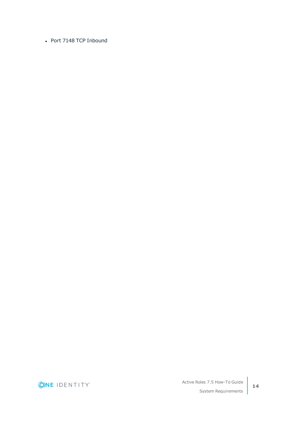• Port 7148 TCP Inbound

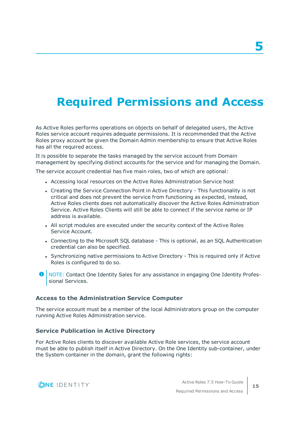## <span id="page-18-0"></span>**Required Permissions and Access**

As Active Roles performs operations on objects on behalf of delegated users, the Active Roles service account requires adequate permissions. It is recommended that the Active Roles proxy account be given the Domain Admin membership to ensure that Active Roles has all the required access.

It is possible to separate the tasks managed by the service account from Domain management by specifying distinct accounts for the service and for managing the Domain.

The service account credential has five main roles, two of which are optional:

- Accessing local resources on the Active Roles Administration Service host
- Creating the Service Connection Point in Active Directory This functionality is not critical and does not prevent the service from functioning as expected, instead, Active Roles clients does not automatically discover the Active Roles Administration Service. Active Roles Clients will still be able to connect if the service name or IP address is available.
- All script modules are executed under the security context of the Active Roles Service Account.
- Connecting to the Microsoft SQL database This is optional, as an SQL Authentication credential can also be specified.
- Synchronizing native permissions to Active Directory This is required only if Active Roles is configured to do so.
- **O** NOTE: Contact One Identity Sales for any assistance in engaging One Identity Professional Services.

#### **Access to the Administration Service Computer**

The service account must be a member of the local Administrators group on the computer running Active Roles Administration service.

### **Service Publication in Active Directory**

For Active Roles clients to discover available Active Role services, the service account must be able to publish itself in Active Directory. On the One Identity sub-container, under the System container in the domain, grant the following rights:

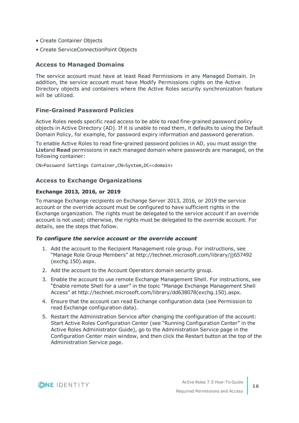- Create Container Objects
- Create ServiceConnectionPoint Objects

### **Access to Managed Domains**

The service account must have at least Read Permissions in any Managed Domain. In addition, the service account must have Modify Permissions rights on the Active Directory objects and containers where the Active Roles security synchronization feature will be utilized.

### **Fine-Grained Password Policies**

Active Roles needs specific read access to be able to read fine-grained password policy objects in Active Directory (AD). If it is unable to read them, it defaults to using the Default Domain Policy, for example, for password expiry information and password generation.

To enable Active Roles to read fine-grained password policies in AD, you must assign the **List**and **Read** permissions in each managed domain where passwords are managed, on the following container:

CN=Password Settings Container,CN=System,DC=<domain>

### **Access to Exchange Organizations**

#### **Exchange 2013, 2016, or 2019**

To manage Exchange recipients on Exchange Server 2013, 2016, or 2019 the service account or the override account must be configured to have sufficient rights in the Exchange organization. The rights must be delegated to the service account if an override account is not used; otherwise, the rights must be delegated to the override account. For details, see the steps that follow.

#### *To configure the service account or the override account*

- 1. Add the account to the Recipient Management role group. For instructions, see "Manage Role Group Members" at http://technet.microsoft.com/library/jj657492 (exchg.150).aspx.
- 2. Add the account to the Account Operators domain security group.
- 3. Enable the account to use remote Exchange Management Shell. For instructions, see "Enable remote Shell for a user" in the topic "Manage Exchange Management Shell Access" at http://technet.microsoft.com/library/dd638078(exchg.150).aspx.
- 4. Ensure that the account can read Exchange configuration data (see Permission to read Exchange configuration data).
- 5. Restart the Administration Service after changing the configuration of the account: Start Active Roles Configuration Center (see "Running Configuration Center" in the Active Roles Administrator Guide), go to the Administration Service page in the Configuration Center main window, and then click the Restart button at the top of the Administration Service page.

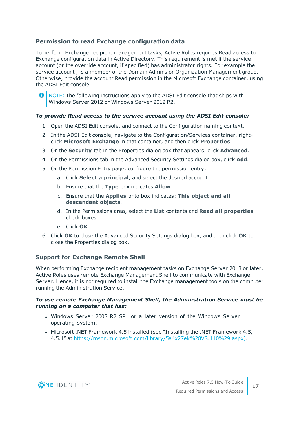### **Permission to read Exchange configuration data**

To perform Exchange recipient management tasks, Active Roles requires Read access to Exchange configuration data in Active Directory. This requirement is met if the service account (or the override account, if specified) has administrator rights. For example the service account , is a member of the Domain Admins or Organization Management group. Otherwise, provide the account Read permission in the Microsoft Exchange container, using the ADSI Edit console.



NOTE: The following instructions apply to the ADSI Edit console that ships with Windows Server 2012 or Windows Server 2012 R2.

### *To provide Read access to the service account using the ADSI Edit console:*

- 1. Open the ADSI Edit console, and connect to the Configuration naming context.
- 2. In the ADSI Edit console, navigate to the Configuration/Services container, rightclick **Microsoft Exchange** in that container, and then click **Properties**.
- 3. On the **Security** tab in the Properties dialog box that appears, click **Advanced**.
- 4. On the Permissions tab in the Advanced Security Settings dialog box, click **Add**.
- 5. On the Permission Entry page, configure the permission entry:
	- a. Click **Select a principal**, and select the desired account.
	- b. Ensure that the **Type** box indicates **Allow**.
	- c. Ensure that the **Applies** onto box indicates: **This object and all descendant objects**.
	- d. In the Permissions area, select the **List** contents and **Read all properties** check boxes.
	- e. Click **OK**.
- 6. Click **OK** to close the Advanced Security Settings dialog box, and then click **OK** to close the Properties dialog box.

### **Support for Exchange Remote Shell**

When performing Exchange recipient management tasks on Exchange Server 2013 or later, Active Roles uses remote Exchange Management Shell to communicate with Exchange Server. Hence, it is not required to install the Exchange management tools on the computer running the Administration Service.

### *To use remote Exchange Management Shell, the Administration Service must be running on a computer that has:*

- Windows Server 2008 R2 SP1 or a later version of the Windows Server operating system.
- <sup>l</sup> Microsoft .NET Framework 4.5 installed (see "Installing the .NET Framework 4.5, 4.5.1" at [https://msdn.microsoft.com/library/5a4x27ek%28VS.110%29.aspx\).](https://msdn.microsoft.com/library/5a4x27ek(VS.110).aspx))

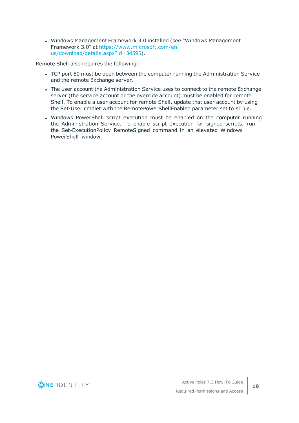• Windows Management Framework 3.0 installed (see "Windows Management Framework 3.0" at [https://www.microsoft.com/en](https://www.microsoft.com/en-us/download/details.aspx?id=34595)[us/download/details.aspx?id=34595](https://www.microsoft.com/en-us/download/details.aspx?id=34595)).

Remote Shell also requires the following:

- TCP port 80 must be open between the computer running the Administration Service and the remote Exchange server.
- The user account the Administration Service uses to connect to the remote Exchange server (the service account or the override account) must be enabled for remote Shell. To enable a user account for remote Shell, update that user account by using the Set-User cmdlet with the RemotePowerShellEnabled parameter set to \$True.
- Windows PowerShell script execution must be enabled on the computer running the Administration Service. To enable script execution for signed scripts, run the Set-ExecutionPolicy RemoteSigned command in an elevated Windows PowerShell window.

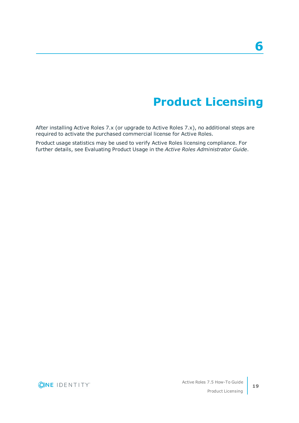## **Product Licensing**

<span id="page-22-0"></span>After installing Active Roles 7.x (or upgrade to Active Roles 7.x), no additional steps are required to activate the purchased commercial license for Active Roles.

Product usage statistics may be used to verify Active Roles licensing compliance. For further details, see Evaluating Product Usage in the *Active Roles Administrator Guide*.

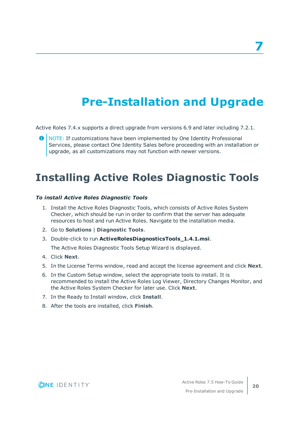## **Pre-Installation and Upgrade**

<span id="page-23-0"></span>Active Roles 7.4.x supports a direct upgrade from versions 6.9 and later including 7.2.1.

NOTE: If customizations have been implemented by One Identity Professional Services, please contact One Identity Sales before proceeding with an installation or upgrade, as all customizations may not function with newer versions.

### <span id="page-23-1"></span>**Installing Active Roles Diagnostic Tools**

### *To install Active Roles Diagnostic Tools*

- 1. Install the Active Roles Diagnostic Tools, which consists of Active Roles System Checker, which should be run in order to confirm that the server has adequate resources to host and run Active Roles. Navigate to the installation media.
- 2. Go to **Solutions** | **Diagnostic Tools**.
- 3. Double-click to run **ActiveRolesDiagnosticsTools\_1.4.1.msi**.

The Active Roles Diagnostic Tools Setup Wizard is displayed.

- 4. Click **Next**.
- 5. In the License Terms window, read and accept the license agreement and click **Next**.
- 6. In the Custom Setup window, select the appropriate tools to install. It is recommended to install the Active Roles Log Viewer, Directory Changes Monitor, and the Active Roles System Checker for later use. Click **Next**.
- 7. In the Ready to Install window, click **Install**.
- 8. After the tools are installed, click **Finish**.



**20**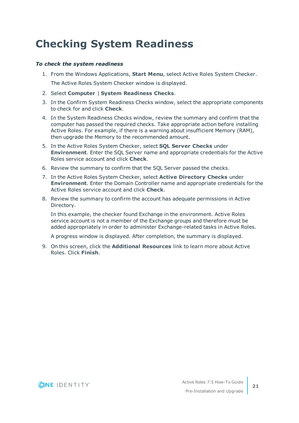## <span id="page-24-0"></span>**Checking System Readiness**

### *To check the system readiness*

- 1. From the Windows Applications, **Start Menu**, select Active Roles System Checker. The Active Roles System Checker window is displayed.
- 2. Select **Computer** | **System Readiness Checks**.
- 3. In the Confirm System Readiness Checks window, select the appropriate components to check for and click **Check**.
- 4. In the System Readiness Checks window, review the summary and confirm that the computer has passed the required checks. Take appropriate action before installing Active Roles. For example, if there is a warning about insufficient Memory (RAM), then upgrade the Memory to the recommended amount.
- 5. In the Active Roles System Checker, select **SQL Server Checks** under **Environment**. Enter the SQL Server name and appropriate credentials for the Active Roles service account and click **Check**.
- 6. Review the summary to confirm that the SQL Server passed the checks.
- 7. In the Active Roles System Checker, select **Active Directory Checks** under **Environment**. Enter the Domain Controller name and appropriate credentials for the Active Roles service account and click **Check**.
- 8. Review the summary to confirm the account has adequate permissions in Active Directory.

In this example, the checker found Exchange in the environment. Active Roles service account is not a member of the Exchange groups and therefore must be added appropriately in order to administer Exchange-related tasks in Active Roles.

A progress window is displayed. After completion, the summary is displayed.

9. On this screen, click the **Additional Resources** link to learn more about Active Roles. Click **Finish**.



**21**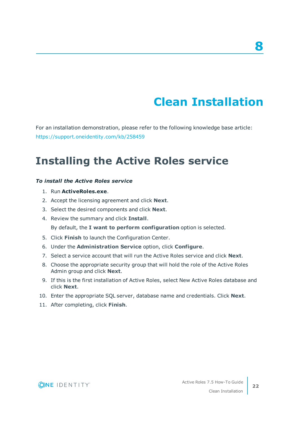## **Clean Installation**

**8**

<span id="page-25-0"></span>For an installation demonstration, please refer to the following knowledge base article: <https://support.oneidentity.com/kb/258459>

### <span id="page-25-1"></span>**Installing the Active Roles service**

#### *To install the Active Roles service*

- 1. Run **ActiveRoles.exe**.
- 2. Accept the licensing agreement and click **Next**.
- 3. Select the desired components and click **Next**.
- 4. Review the summary and click **Install**.

By default, the **I want to perform configuration** option is selected.

- 5. Click **Finish** to launch the Configuration Center.
- 6. Under the **Administration Service** option, click **Configure**.
- 7. Select a service account that will run the Active Roles service and click **Next**.
- 8. Choose the appropriate security group that will hold the role of the Active Roles Admin group and click **Next**.
- 9. If this is the first installation of Active Roles, select New Active Roles database and click **Next**.
- 10. Enter the appropriate SQL server, database name and credentials. Click **Next**.
- 11. After completing, click **Finish**.

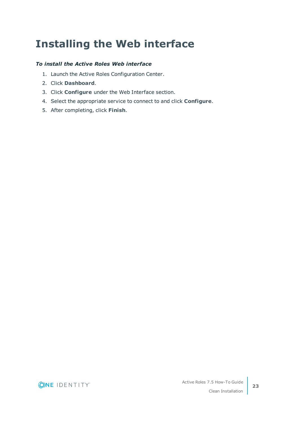## <span id="page-26-0"></span>**Installing the Web interface**

### *To install the Active Roles Web interface*

- 1. Launch the Active Roles Configuration Center.
- 2. Click **Dashboard**.
- 3. Click **Configure** under the Web Interface section.
- 4. Select the appropriate service to connect to and click **Configure**.
- 5. After completing, click **Finish**.

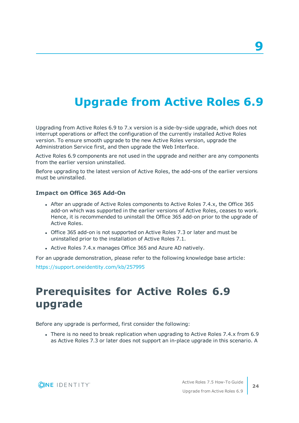## <span id="page-27-0"></span>**Upgrade from Active Roles 6.9**

Upgrading from Active Roles 6.9 to 7.x version is a side-by-side upgrade, which does not interrupt operations or affect the configuration of the currently installed Active Roles version. To ensure smooth upgrade to the new Active Roles version, upgrade the Administration Service first, and then upgrade the Web Interface.

Active Roles 6.9 components are not used in the upgrade and neither are any components from the earlier version uninstalled.

Before upgrading to the latest version of Active Roles, the add-ons of the earlier versions must be uninstalled.

### **Impact on Office 365 Add-On**

- <sup>l</sup> After an upgrade of Active Roles components to Active Roles 7.4.x, the Office 365 add-on which was supported in the earlier versions of Active Roles, ceases to work. Hence, it is recommended to uninstall the Office 365 add-on prior to the upgrade of Active Roles.
- Office 365 add-on is not supported on Active Roles 7.3 or later and must be uninstalled prior to the installation of Active Roles 7.1.
- Active Roles 7.4.x manages Office 365 and Azure AD natively.

For an upgrade demonstration, please refer to the following knowledge base article:

<span id="page-27-1"></span><https://support.oneidentity.com/kb/257995>

### **Prerequisites for Active Roles 6.9 upgrade**

Before any upgrade is performed, first consider the following:

• There is no need to break replication when upgrading to Active Roles 7.4.x from 6.9 as Active Roles 7.3 or later does not support an in-place upgrade in this scenario. A

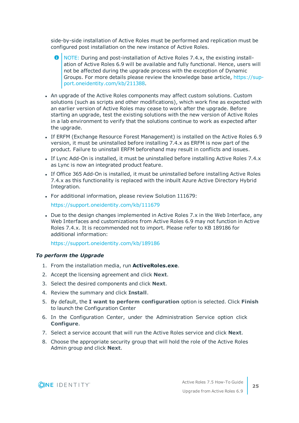side-by-side installation of Active Roles must be performed and replication must be configured post installation on the new instance of Active Roles.

- **O** NOTE: During and post-installation of Active Roles 7.4.x, the existing installation of Active Roles 6.9 will be available and fully functional. Hence, users will not be affected during the upgrade process with the exception of Dynamic Groups. For more details please review the knowledge base article, [https://sup](https://support.oneidentity.com/kb/211388)[port.oneidentity.com/kb/211388](https://support.oneidentity.com/kb/211388).
- An upgrade of the Active Roles components may affect custom solutions. Custom solutions (such as scripts and other modifications), which work fine as expected with an earlier version of Active Roles may cease to work after the upgrade. Before starting an upgrade, test the existing solutions with the new version of Active Roles in a lab environment to verify that the solutions continue to work as expected after the upgrade.
- If ERFM (Exchange Resource Forest Management) is installed on the Active Roles 6.9 version, it must be uninstalled before installing 7.4.x as ERFM is now part of the product. Failure to uninstall ERFM beforehand may result in conflicts and issues.
- If Lync Add-On is installed, it must be uninstalled before installing Active Roles 7.4.x as Lync is now an integrated product feature.
- If Office 365 Add-On is installed, it must be uninstalled before installing Active Roles 7.4.x as this functionality is replaced with the inbuilt Azure Active Directory Hybrid Integration.
- For additional information, please review Solution 111679:

<https://support.oneidentity.com/kb/111679>

• Due to the design changes implemented in Active Roles 7.x in the Web Interface, any Web Interfaces and customizations from Active Roles 6.9 may not function in Active Roles 7.4.x. It is recommended not to import. Please refer to KB 189186 for additional information:

<https://support.oneidentity.com/kb/189186>

#### *To perform the Upgrade*

- 1. From the installation media, run **ActiveRoles.exe**.
- 2. Accept the licensing agreement and click **Next**.
- 3. Select the desired components and click **Next**.
- 4. Review the summary and click **Install**.
- 5. By default, the **I want to perform configuration** option is selected. Click **Finish** to launch the Configuration Center
- 6. In the Configuration Center, under the Administration Service option click **Configure**.
- 7. Select a service account that will run the Active Roles service and click **Next**.
- 8. Choose the appropriate security group that will hold the role of the Active Roles Admin group and click **Next**.

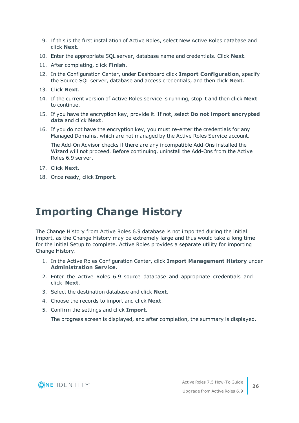- 9. If this is the first installation of Active Roles, select New Active Roles database and click **Next**.
- 10. Enter the appropriate SQL server, database name and credentials. Click **Next**.
- 11. After completing, click **Finish**.
- 12. In the Configuration Center, under Dashboard click **Import Configuration**, specify the Source SQL server, database and access credentials, and then click **Next**.
- 13. Click **Next**.
- 14. If the current version of Active Roles service is running, stop it and then click **Next** to continue.
- 15. If you have the encryption key, provide it. If not, select **Do not import encrypted data** and click **Next**.
- 16. If you do not have the encryption key, you must re-enter the credentials for any Managed Domains, which are not managed by the Active Roles Service account.

The Add-On Advisor checks if there are any incompatible Add-Ons installed the Wizard will not proceed. Before continuing, uninstall the Add-Ons from the Active Roles 6.9 server.

- 17. Click **Next**.
- 18. Once ready, click **Import**.

## <span id="page-29-0"></span>**Importing Change History**

The Change History from Active Roles 6.9 database is not imported during the initial import, as the Change History may be extremely large and thus would take a long time for the initial Setup to complete. Active Roles provides a separate utility for importing Change History.

- 1. In the Active Roles Configuration Center, click **Import Management History** under **Administration Service**.
- 2. Enter the Active Roles 6.9 source database and appropriate credentials and click **Next**.
- 3. Select the destination database and click **Next**.
- 4. Choose the records to import and click **Next**.
- 5. Confirm the settings and click **Import**.

The progress screen is displayed, and after completion, the summary is displayed.

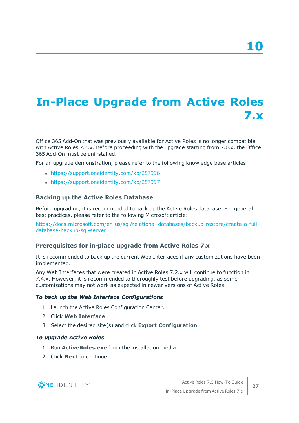# <span id="page-30-0"></span>**In-Place Upgrade from Active Roles 7.x**

Office 365 Add-On that was previously available for Active Roles is no longer compatible with Active Roles 7.4.x. Before proceeding with the upgrade starting from 7.0.x, the Office 365 Add-On must be uninstalled.

For an upgrade demonstration, please refer to the following knowledge base articles:

- <https://support.oneidentity.com/kb/257996>
- <https://support.oneidentity.com/kb/257997>

### **Backing up the Active Roles Database**

Before upgrading, it is recommended to back up the Active Roles database. For general best practices, please refer to the following Microsoft article:

[https://docs.microsoft.com/en-us/sql/relational-databases/backup-restore/create-a-full](https://docs.microsoft.com/en-us/sql/relational-databases/backup-restore/create-a-full-database-backup-sql-server)[database-backup-sql-server](https://docs.microsoft.com/en-us/sql/relational-databases/backup-restore/create-a-full-database-backup-sql-server)

### **Prerequisites for in-place upgrade from Active Roles 7.x**

It is recommended to back up the current Web Interfaces if any customizations have been implemented.

Any Web Interfaces that were created in Active Roles 7.2.x will continue to function in 7.4.x. However, it is recommended to thoroughly test before upgrading, as some customizations may not work as expected in newer versions of Active Roles.

#### *To back up the Web Interface Configurations*

- 1. Launch the Active Roles Configuration Center.
- 2. Click **Web Interface**.
- 3. Select the desired site(s) and click **Export Configuration**.

### *To upgrade Active Roles*

- 1. Run **ActiveRoles.exe** from the installation media.
- 2. Click **Next** to continue.

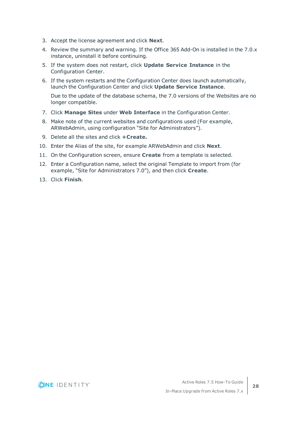- 3. Accept the license agreement and click **Next**.
- 4. Review the summary and warning. If the Office 365 Add-On is installed in the 7.0.x instance, uninstall it before continuing.
- 5. If the system does not restart, click **Update Service Instance** in the Configuration Center.
- 6. If the system restarts and the Configuration Center does launch automatically, launch the Configuration Center and click **Update Service Instance**.

Due to the update of the database schema, the 7.0 versions of the Websites are no longer compatible.

- 7. Click **Manage Sites** under **Web Interface** in the Configuration Center.
- 8. Make note of the current websites and configurations used (For example, ARWebAdmin, using configuration "Site for Administrators").
- 9. Delete all the sites and click **+Create.**
- 10. Enter the Alias of the site, for example ARWebAdmin and click **Next**.
- 11. On the Configuration screen, ensure **Create** from a template is selected.
- 12. Enter a Configuration name, select the original Template to import from (for example, "Site for Administrators 7.0"), and then click **Create**.
- 13. Click **Finish**.



**28**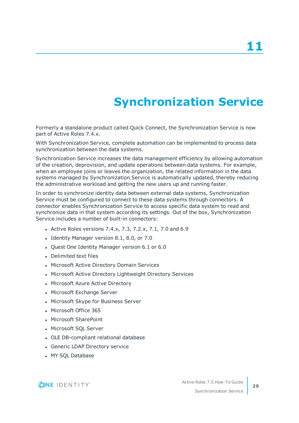# **Synchronization Service**

<span id="page-32-0"></span>Formerly a standalone product called Quick Connect, the Synchronization Service is now part of Active Roles 7.4.x.

With Synchronization Service, complete automation can be implemented to process data synchronization between the data systems.

Synchronization Service increases the data management efficiency by allowing automation of the creation, deprovision, and update operations between data systems. For example, when an employee joins or leaves the organization, the related information in the data systems managed by Synchronization Service is automatically updated, thereby reducing the administrative workload and getting the new users up and running faster.

In order to synchronize identity data between external data systems, Synchronization Service must be configured to connect to these data systems through connectors. A connector enables Synchronization Service to access specific data system to read and synchronize data in that system according its settings. Out of the box, Synchronization Service includes a number of built-in connectors:

- Active Roles versions 7.4.x, 7.3, 7.2.x, 7.1, 7.0 and 6.9
- Identity Manager version 8.1, 8.0, or 7.0
- Quest One Identity Manager version 6.1 or 6.0
- Delimited text files
- Microsoft Active Directory Domain Services
- Microsoft Active Directory Lightweight Directory Services
- Microsoft Azure Active Directory
- Microsoft Exchange Server
- Microsoft Skype for Business Server
- Microsoft Office 365
- Microsoft SharePoint
- Microsoft SQL Server
- OLE DB-compliant relational database
- Generic LDAP Directory service
- MY SOL Database

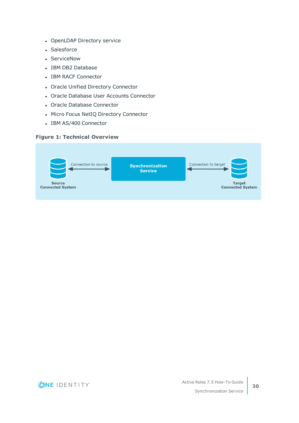- OpenLDAP Directory service
- Salesforce
- ServiceNow
- IBM DB2 Database
- IBM RACF Connector
- Oracle Unified Directory Connector
- Oracle Database User Accounts Connector
- Oracle Database Connector
- Micro Focus NetIQ Directory Connector
- IBM AS/400 Connector

### **Figure 1: Technical Overview**



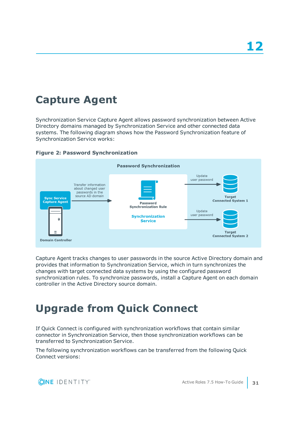## <span id="page-34-0"></span>**Capture Agent**

Synchronization Service Capture Agent allows password synchronization between Active Directory domains managed by Synchronization Service and other connected data systems. The following diagram shows how the Password Synchronization feature of Synchronization Service works:





Capture Agent tracks changes to user passwords in the source Active Directory domain and provides that information to Synchronization Service, which in turn synchronizes the changes with target connected data systems by using the configured password synchronization rules. To synchronize passwords, install a Capture Agent on each domain controller in the Active Directory source domain.

## <span id="page-34-1"></span>**Upgrade from Quick Connect**

If Quick Connect is configured with synchronization workflows that contain similar connector in Synchronization Service, then those synchronization workflows can be transferred to Synchronization Service.

The following synchronization workflows can be transferred from the following Quick Connect versions:

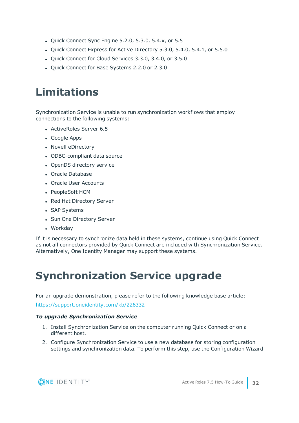- Quick Connect Sync Engine 5.2.0, 5.3.0, 5.4.x, or 5.5
- Quick Connect Express for Active Directory 5.3.0, 5.4.0, 5.4.1, or 5.5.0
- Quick Connect for Cloud Services 3.3.0, 3.4.0, or 3.5.0
- Quick Connect for Base Systems 2.2.0 or 2.3.0

### <span id="page-35-0"></span>**Limitations**

Synchronization Service is unable to run synchronization workflows that employ connections to the following systems:

- ActiveRoles Server 6.5
- Google Apps
- Novell eDirectory
- ODBC-compliant data source
- OpenDS directory service
- Oracle Database
- Oracle User Accounts
- PeopleSoft HCM
- Red Hat Directory Server
- SAP Systems
- Sun One Directory Server
- Workday

If it is necessary to synchronize data held in these systems, continue using Quick Connect as not all connectors provided by Quick Connect are included with Synchronization Service. Alternatively, One Identity Manager may support these systems.

## <span id="page-35-1"></span>**Synchronization Service upgrade**

For an upgrade demonstration, please refer to the following knowledge base article:

<https://support.oneidentity.com/kb/226332>

### *To upgrade Synchronization Service*

- 1. Install Synchronization Service on the computer running Quick Connect or on a different host.
- 2. Configure Synchronization Service to use a new database for storing configuration settings and synchronization data. To perform this step, use the Configuration Wizard

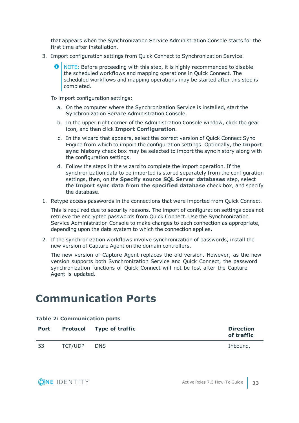that appears when the Synchronization Service Administration Console starts for the first time after installation.

- 3. Import configuration settings from Quick Connect to Synchronization Service.
	- NOTE: Before proceeding with this step, it is highly recommended to disable the scheduled workflows and mapping operations in Quick Connect. The scheduled workflows and mapping operations may be started after this step is completed.

To import configuration settings:

- a. On the computer where the Synchronization Service is installed, start the Synchronization Service Administration Console.
- b. In the upper right corner of the Administration Console window, click the gear icon, and then click **Import Configuration**.
- c. In the wizard that appears, select the correct version of Quick Connect Sync Engine from which to import the configuration settings. Optionally, the **Import sync history** check box may be selected to import the sync history along with the configuration settings.
- d. Follow the steps in the wizard to complete the import operation. If the synchronization data to be imported is stored separately from the configuration settings, then, on the **Specify source SQL Server databases** step, select the **Import sync data from the specified database** check box, and specify the database.
- 1. Retype access passwords in the connections that were imported from Quick Connect.

This is required due to security reasons. The import of configuration settings does not retrieve the encrypted passwords from Quick Connect. Use the Synchronization Service Administration Console to make changes to each connection as appropriate, depending upon the data system to which the connection applies.

2. If the synchronization workflows involve synchronization of passwords, install the new version of Capture Agent on the domain controllers.

The new version of Capture Agent replaces the old version. However, as the new version supports both Synchronization Service and Quick Connect, the password synchronization functions of Quick Connect will not be lost after the Capture Agent is updated.

### <span id="page-36-0"></span>**Communication Ports**

| <b>Table 2: Communication ports</b> |         |                                 |                                |  |
|-------------------------------------|---------|---------------------------------|--------------------------------|--|
| <b>Port</b>                         |         | <b>Protocol</b> Type of traffic | <b>Direction</b><br>of traffic |  |
| -53                                 | TCP/UDP | DNS.                            | Inbound,                       |  |

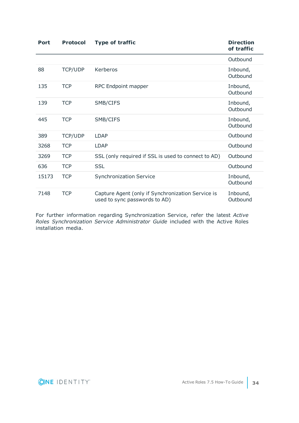| <b>Port</b> | <b>Protocol</b> | <b>Type of traffic</b>                                                             | <b>Direction</b><br>of traffic |
|-------------|-----------------|------------------------------------------------------------------------------------|--------------------------------|
|             |                 |                                                                                    | Outbound                       |
| 88          | TCP/UDP         | Kerberos                                                                           | Inbound,<br>Outbound           |
| 135         | <b>TCP</b>      | RPC Endpoint mapper                                                                | Inbound,<br>Outbound           |
| 139         | <b>TCP</b>      | SMB/CIFS                                                                           | Inbound,<br>Outbound           |
| 445         | <b>TCP</b>      | SMB/CIFS                                                                           | Inbound,<br>Outbound           |
| 389         | <b>TCP/UDP</b>  | <b>LDAP</b>                                                                        | Outbound                       |
| 3268        | <b>TCP</b>      | <b>LDAP</b>                                                                        | Outbound                       |
| 3269        | <b>TCP</b>      | SSL (only required if SSL is used to connect to AD)                                | Outbound                       |
| 636         | <b>TCP</b>      | <b>SSL</b>                                                                         | Outbound                       |
| 15173       | <b>TCP</b>      | <b>Synchronization Service</b>                                                     | Inbound,<br>Outbound           |
| 7148        | <b>TCP</b>      | Capture Agent (only if Synchronization Service is<br>used to sync passwords to AD) | Inbound,<br>Outbound           |

For further information regarding Synchronization Service, refer the latest *Active Roles Synchronization Service Administrator Guide* included with the Active Roles installation media.

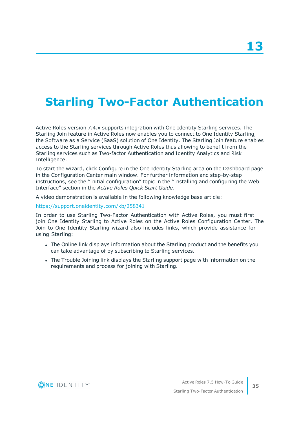## <span id="page-38-0"></span>**Starling Two-Factor Authentication**

Active Roles version 7.4.x supports integration with One Identity Starling services. The Starling Join feature in Active Roles now enables you to connect to One Identity Starling, the Software as a Service (SaaS) solution of One Identity. The Starling Join feature enables access to the Starling services through Active Roles thus allowing to benefit from the Starling services such as Two-factor Authentication and Identity Analytics and Risk Intelligence.

To start the wizard, click Configure in the One Identity Starling area on the Dashboard page in the Configuration Center main window. For further information and step-by-step instructions, see the "Initial configuration" topic in the "Installing and configuring the Web Interface" section in the *Active Roles Quick Start Guide*.

A video demonstration is available in the following knowledge base article:

#### <https://support.oneidentity.com/kb/258341>

In order to use Starling Two-Factor Authentication with Active Roles, you must first join One Identity Starling to Active Roles on the Active Roles Configuration Center. The Join to One Identity Starling wizard also includes links, which provide assistance for using Starling:

- The Online link displays information about the Starling product and the benefits you can take advantage of by subscribing to Starling services.
- The Trouble Joining link displays the Starling support page with information on the requirements and process for joining with Starling.

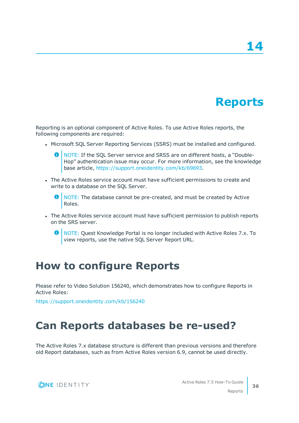## **Reports**

<span id="page-39-0"></span>Reporting is an optional component of Active Roles. To use Active Roles reports, the following components are required:

- Microsoft SQL Server Reporting Services (SSRS) must be installed and configured.
	- NOTE: If the SQL Server service and SRSS are on different hosts, a "Double-Hop" authentication issue may occur. For more information, see the knowledge base article, <https://support.oneidentity.com/kb/69693>.
- The Active Roles service account must have sufficient permissions to create and write to a database on the SQL Server.
	- $\bullet$  NOTE: The database cannot be pre-created, and must be created by Active Roles.
- The Active Roles service account must have sufficient permission to publish reports on the SRS server.
	- **O** NOTE: Quest Knowledge Portal is no longer included with Active Roles 7.x. To view reports, use the native SQL Server Report URL.

### <span id="page-39-1"></span>**How to configure Reports**

Please refer to Video Solution 156240, which demonstrates how to configure Reports in Active Roles:

<span id="page-39-2"></span><https://support.oneidentity.com/kb/156240>

### **Can Reports databases be re-used?**

The Active Roles 7.x database structure is different than previous versions and therefore old Report databases, such as from Active Roles version 6.9, cannot be used directly.

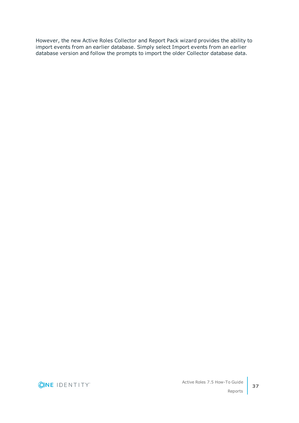However, the new Active Roles Collector and Report Pack wizard provides the ability to import events from an earlier database. Simply select Import events from an earlier database version and follow the prompts to import the older Collector database data.

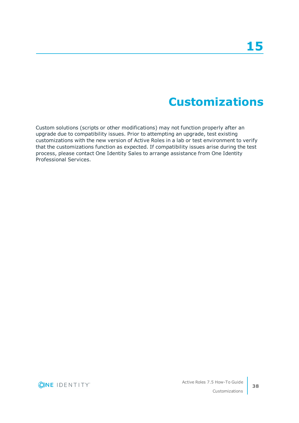## **Customizations**

<span id="page-41-0"></span>Custom solutions (scripts or other modifications) may not function properly after an upgrade due to compatibility issues. Prior to attempting an upgrade, test existing customizations with the new version of Active Roles in a lab or test environment to verify that the customizations function as expected. If compatibility issues arise during the test process, please contact One Identity Sales to arrange assistance from One Identity Professional Services.

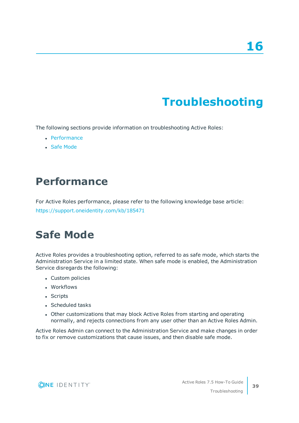# **Troubleshooting**

<span id="page-42-0"></span>The following sections provide information on troubleshooting Active Roles:

- [Performance](#page-42-1)
- **Safe [Mode](#page-42-2)**

### <span id="page-42-1"></span>**Performance**

For Active Roles performance, please refer to the following knowledge base article: <https://support.oneidentity.com/kb/185471>

### <span id="page-42-2"></span>**Safe Mode**

Active Roles provides a troubleshooting option, referred to as safe mode, which starts the Administration Service in a limited state. When safe mode is enabled, the Administration Service disregards the following:

- Custom policies
- Workflows
- Scripts
- Scheduled tasks
- Other customizations that may block Active Roles from starting and operating normally, and rejects connections from any user other than an Active Roles Admin.

Active Roles Admin can connect to the Administration Service and make changes in order to fix or remove customizations that cause issues, and then disable safe mode.



**39**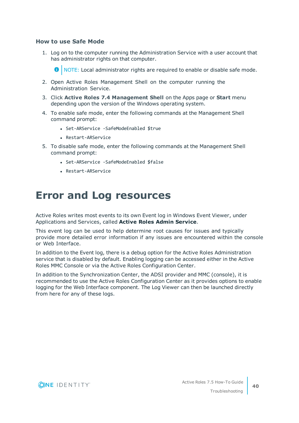### **How to use Safe Mode**

1. Log on to the computer running the Administration Service with a user account that has administrator rights on that computer.

NOTE: Local administrator rights are required to enable or disable safe mode.

- 2. Open Active Roles Management Shell on the computer running the Administration Service.
- 3. Click **Active Roles 7.4 Management Shell** on the Apps page or **Start** menu depending upon the version of the Windows operating system.
- 4. To enable safe mode, enter the following commands at the Management Shell command prompt:
	- Set-ARService -SafeModeEnabled \$true
	- <sup>l</sup> Restart-ARService
- 5. To disable safe mode, enter the following commands at the Management Shell command prompt:
	- Set-ARService -SafeModeEnabled \$false
	- <sup>l</sup> Restart-ARService

### <span id="page-43-0"></span>**Error and Log resources**

Active Roles writes most events to its own Event log in Windows Event Viewer, under Applications and Services, called **Active Roles Admin Service**.

This event log can be used to help determine root causes for issues and typically provide more detailed error information if any issues are encountered within the console or Web Interface.

In addition to the Event log, there is a debug option for the Active Roles Administration service that is disabled by default. Enabling logging can be accessed either in the Active Roles MMC Console or via the Active Roles Configuration Center.

In addition to the Synchronization Center, the ADSI provider and MMC (console), it is recommended to use the Active Roles Configuration Center as it provides options to enable logging for the Web Interface component. The Log Viewer can then be launched directly from here for any of these logs.

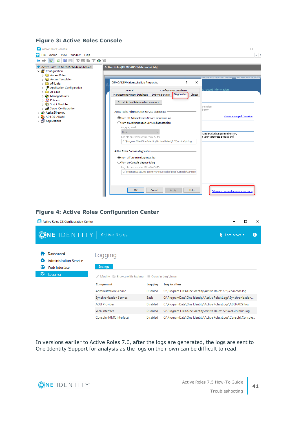### **Figure 3: Active Roles Console**



### **Figure 4: Active Roles Configuration Center**

| Active Roles 7.3 Configuration Center<br>Ño.                                | $\times$                                                                                                                                                                        |                                            |                                                                                                                                                |
|-----------------------------------------------------------------------------|---------------------------------------------------------------------------------------------------------------------------------------------------------------------------------|--------------------------------------------|------------------------------------------------------------------------------------------------------------------------------------------------|
| <b>ONE IDENTITY</b> Active Roles                                            |                                                                                                                                                                                 |                                            | $\overline{\mathbf{H}}$ Local server                                                                                                           |
| Dashboard<br><b>Administration Service</b><br>Web Interface<br>E<br>Logging | Logging<br><b>Settings</b><br>Modify $\Box$ Browse with Explorer $\Box$ Open in Log Viewer<br>₽<br>Component<br><b>Administration Service</b><br><b>Synchronization Service</b> | Logging<br><b>Disabled</b><br><b>Basic</b> | Log location<br>C:\Program Files\One Identity\Active Roles\7.3\Service\ds.log<br>C:\ProgramData\One Identity\Active Roles\Logs\Synchronization |
|                                                                             | <b>ADSI Provider</b><br>Web Interface                                                                                                                                           | <b>Disabled</b><br><b>Disabled</b>         | C:\ProgramData\One Identity\Active Roles\Logs\ADSI\ADSI.log                                                                                    |
|                                                                             | Console (MMC Interface)                                                                                                                                                         | <b>Disabled</b>                            | C:\Program Files\One Identity\Active Roles\7.3\Web\Public\Log<br>C:\ProgramData\One Identity\Active Roles\Logs\Console\Console                 |

In versions earlier to Active Roles 7.0, after the logs are generated, the logs are sent to One Identity Support for analysis as the logs on their own can be difficult to read.

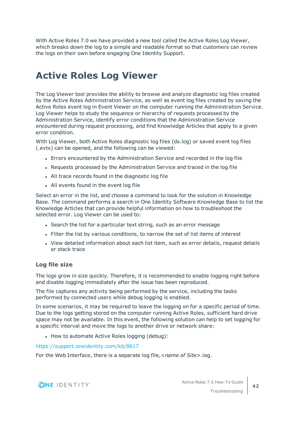With Active Roles 7.0 we have provided a new tool called the Active Roles Log Viewer, which breaks down the log to a simple and readable format so that customers can review the logs on their own before engaging One Identity Support.

### <span id="page-45-0"></span>**Active Roles Log Viewer**

The Log Viewer tool provides the ability to browse and analyze diagnostic log files created by the Active Roles Administration Service, as well as event log files created by saving the Active Roles event log in Event Viewer on the computer running the Administration Service. Log Viewer helps to study the sequence or hierarchy of requests processed by the Administration Service, identify error conditions that the Administration Service encountered during request processing, and find Knowledge Articles that apply to a given error condition.

With Log Viewer, both Active Roles diagnostic log files (ds.log) or saved event log files (.evtx) can be opened, and the following can be viewed:

- Errors encountered by the Administration Service and recorded in the log file
- Requests processed by the Administration Service and traced in the log file
- All trace records found in the diagnostic log file
- All events found in the event log file

Select an error in the list, and choose a command to look for the solution in Knowledge Base. The command performs a search in One Identity Software Knowledge Base to list the Knowledge Articles that can provide helpful information on how to troubleshoot the selected error. Log Viewer can be used to:

- Search the list for a particular text string, such as an error message
- <sup>l</sup> Filter the list by various conditions, to narrow the set of list items of interest
- View detailed information about each list item, such as error details, request details or stack trace

### **Log file size**

The logs grow in size quickly. Therefore, it is recommended to enable logging right before and disable logging immediately after the issue has been reproduced.

The file captures any activity being performed by the service, including the tasks performed by connected users while debug logging is enabled.

In some scenarios, it may be required to leave the logging on for a specific period of time. Due to the logs getting stored on the computer running Active Roles, sufficient hard drive space may not be available. In this event, the following solution can help to set logging for a specific interval and move the logs to another drive or network share:

• How to automate Active Roles logging (debug):

#### <https://support.oneidentity.com/kb/8617>

For the Web Interface, there is a separate log file,<*name of Site*>.log.

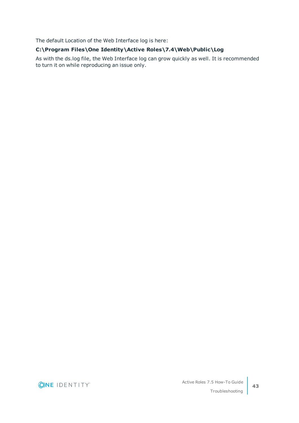The default Location of the Web Interface log is here:

### **C:\Program Files\One Identity\Active Roles\7.4\Web\Public\Log**

As with the ds.log file, the Web Interface log can grow quickly as well. It is recommended to turn it on while reproducing an issue only.

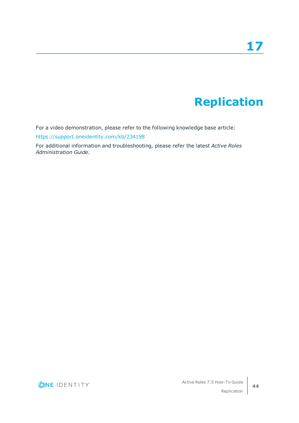## **Replication**

<span id="page-47-0"></span>For a video demonstration, please refer to the following knowledge base article:

<https://support.oneidentity.com/kb/234198>

For additional information and troubleshooting, please refer the latest *Active Roles Administration Guide*.

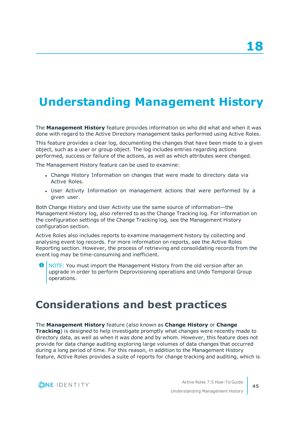## <span id="page-48-0"></span>**Understanding Management History**

The **Management History** feature provides information on who did what and when it was done with regard to the Active Directory management tasks performed using Active Roles.

This feature provides a clear log, documenting the changes that have been made to a given object, such as a user or group object. The log includes entries regarding actions performed, success or failure of the actions, as well as which attributes were changed.

The Management History feature can be used to examine:

- Change History Information on changes that were made to directory data via Active Roles.
- User Activity Information on management actions that were performed by a given user.

Both Change History and User Activity use the same source of information—the Management History log, also referred to as the Change Tracking log. For information on the configuration settings of the Change Tracking log, see the Management History configuration section.

Active Roles also includes reports to examine management history by collecting and analysing event log records. For more information on reports, see the Active Roles Reporting section. However, the process of retrieving and consolidating records from the event log may be time-consuming and inefficient.

NOTE: You must import the Management History from the old version after an upgrade in order to perform Deprovisioning operations and Undo Temporal Group operations.

### <span id="page-48-1"></span>**Considerations and best practices**

#### The **Management History** feature (also known as **Change History** or **Change Tracking**) is designed to help investigate promptly what changes were recently made to directory data, as well as when it was done and by whom. However, this feature does not provide for data change auditing exploring large volumes of data changes that occurred during a long period of time. For this reason, in addition to the Management History feature, Active Roles provides a suite of reports for change tracking and auditing, which is

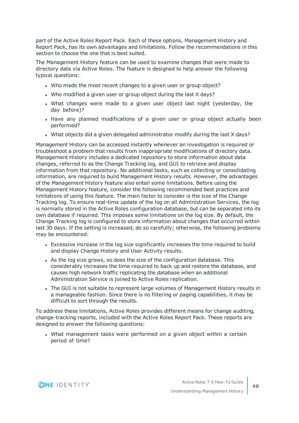part of the Active Roles Report Pack. Each of these options, Management History and Report Pack, has its own advantages and limitations. Follow the recommendations in this section to choose the one that is best suited.

The Management History feature can be used to examine changes that were made to directory data via Active Roles. The feature is designed to help answer the following typical questions:

- . Who made the most recent changes to a given user or group object?
- Who modified a given user or group object during the last X days?
- What changes were made to a given user object last night (yesterday, the day before)?
- Have any planned modifications of a given user or group object actually been performed?
- What objects did a given delegated administrator modify during the last X days?

Management History can be accessed instantly whenever an investigation is required or troubleshoot a problem that results from inappropriate modifications of directory data. Management History includes a dedicated repository to store information about data changes, referred to as the Change Tracking log, and GUI to retrieve and display information from that repository. No additional tasks, such as collecting or consolidating information, are required to build Management History results. However, the advantages of the Management History feature also entail some limitations. Before using the Management History feature, consider the following recommended best practices and limitations of using this feature. The main factor to consider is the size of the Change Tracking log. To ensure real-time update of the log on all Administration Services, the log is normally stored in the Active Roles configuration database, but can be separated into its own database if required. This imposes some limitations on the log size. By default, the Change Tracking log is configured to store information about changes that occurred within last 30 days. If the setting is increased, do so carefully; otherwise, the following problems may be encountered:

- Excessive increase in the log size significantly increases the time required to build and display Change History and User Activity results.
- As the log size grows, so does the size of the configuration database. This considerably increases the time required to back up and restore the database, and causes high network traffic replicating the database when an additional Administration Service is joined to Active Roles replication.
- The GUI is not suitable to represent large volumes of Management History results in a manageable fashion. Since there is no filtering or paging capabilities, it may be difficult to sort through the results.

To address these limitations, Active Roles provides different means for change auditing, change-tracking reports, included with the Active Roles Report Pack. These reports are designed to answer the following questions:

• What management tasks were performed on a given object within a certain period of time?

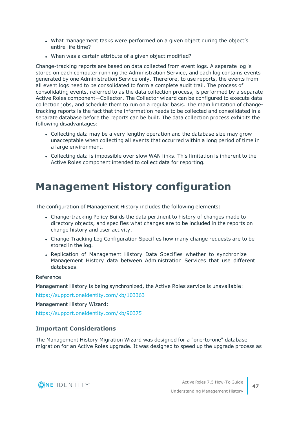- What management tasks were performed on a given object during the object's entire life time?
- When was a certain attribute of a given object modified?

Change-tracking reports are based on data collected from event logs. A separate log is stored on each computer running the Administration Service, and each log contains events generated by one Administration Service only. Therefore, to use reports, the events from all event logs need to be consolidated to form a complete audit trail. The process of consolidating events, referred to as the data collection process, is performed by a separate Active Roles component—Collector. The Collector wizard can be configured to execute data collection jobs, and schedule them to run on a regular basis. The main limitation of changetracking reports is the fact that the information needs to be collected and consolidated in a separate database before the reports can be built. The data collection process exhibits the following disadvantages:

- Collecting data may be a very lengthy operation and the database size may grow unacceptable when collecting all events that occurred within a long period of time in a large environment.
- Collecting data is impossible over slow WAN links. This limitation is inherent to the Active Roles component intended to collect data for reporting.

### <span id="page-50-0"></span>**Management History configuration**

The configuration of Management History includes the following elements:

- Change-tracking Policy Builds the data pertinent to history of changes made to directory objects, and specifies what changes are to be included in the reports on change history and user activity.
- Change Tracking Log Configuration Specifies how many change requests are to be stored in the log.
- Replication of Management History Data Specifies whether to synchronize Management History data between Administration Services that use different databases.

#### Reference

Management History is being synchronized, the Active Roles service is unavailable:

<https://support.oneidentity.com/kb/103363>

Management History Wizard:

<https://support.oneidentity.com/kb/90375>

### **Important Considerations**

The Management History Migration Wizard was designed for a "one-to-one" database migration for an Active Roles upgrade. It was designed to speed up the upgrade process as

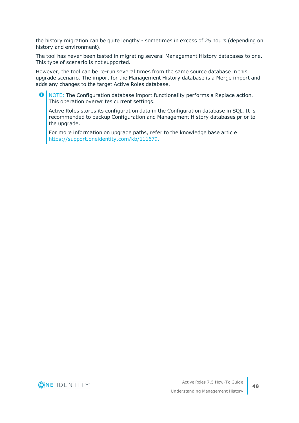the history migration can be quite lengthy - sometimes in excess of 25 hours (depending on history and environment).

The tool has never been tested in migrating several Management History databases to one. This type of scenario is not supported.

However, the tool can be re-run several times from the same source database in this upgrade scenario. The import for the Management History database is a Merge import and adds any changes to the target Active Roles database.

6 NOTE: The Configuration database import functionality performs a Replace action. This operation overwrites current settings.

Active Roles stores its configuration data in the Configuration database in SQL. It is recommended to backup Configuration and Management History databases prior to the upgrade.

For more information on upgrade paths, refer to the knowledge base article [https://support.oneidentity.com/kb/111679.](https://support.oneidentity.com/kb/111679)

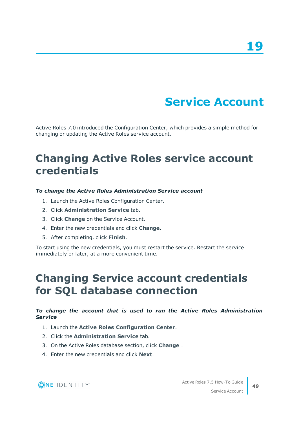## **Service Account**

<span id="page-52-0"></span>Active Roles 7.0 introduced the Configuration Center, which provides a simple method for changing or updating the Active Roles service account.

### <span id="page-52-1"></span>**Changing Active Roles service account credentials**

#### *To change the Active Roles Administration Service account*

- 1. Launch the Active Roles Configuration Center.
- 2. Click **Administration Service** tab.
- 3. Click **Change** on the Service Account.
- 4. Enter the new credentials and click **Change**.
- 5. After completing, click **Finish**.

To start using the new credentials, you must restart the service. Restart the service immediately or later, at a more convenient time.

### <span id="page-52-2"></span>**Changing Service account credentials for SQL database connection**

### *To change the account that is used to run the Active Roles Administration Service*

- 1. Launch the **Active Roles Configuration Center**.
- 2. Click the **Administration Service** tab.
- 3. On the Active Roles database section, click **Change** .
- 4. Enter the new credentials and click **Next**.

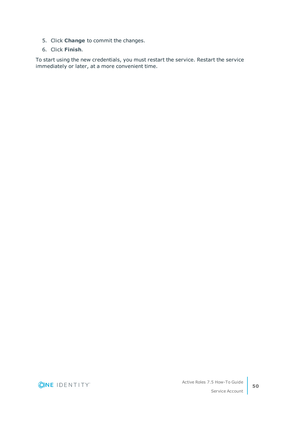- 5. Click **Change** to commit the changes.
- 6. Click **Finish**.

To start using the new credentials, you must restart the service. Restart the service immediately or later, at a more convenient time.